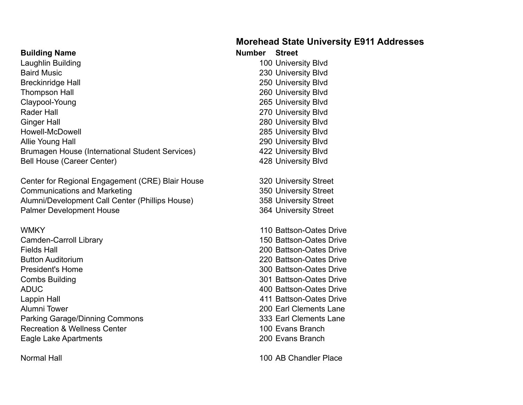## **Morehead State University E911 Addresses**

| <b>Building Name</b>     |  |
|--------------------------|--|
| Laughlin Building        |  |
| <b>Baird Music</b>       |  |
| <b>Breckinridge Hall</b> |  |
| <b>Thompson Hall</b>     |  |
| Claypool-Young           |  |
| D - - - - 1 1 - 11       |  |

Rader Hall 270 University Blvd Ginger Hall 280 University Blvd Howell-McDowell 285 University Blvd Allie Young Hall 290 University Blvd Brumagen House (International Student Services) 422 University Blvd Bell House (Career Center) **428 University Blvd** 

Center for Regional Engagement (CRE) Blair House 320 University Street Communications and Marketing 350 University Street Alumni/Development Call Center (Phillips House) 358 University Street Palmer Development House 364 University Street

Camden-Carroll Library 150 Battson-Oates Drive Fields Hall 200 Battson-Oates Drive Button Auditorium 220 Battson-Oates Drive President's Home 300 Battson-Oates Drive Combs Building 301 Battson-Oates Drive ADUC 400 Battson-Oates Drive Lappin Hall 411 Battson-Oates Drive Alumni Tower 200 Earl Clements Lane Parking Garage/Dinning Commons 233 Earl Clements Lane Recreation & Wellness Center 100 Evans Branch Eagle Lake Apartments 200 Evans Branch

100 University Blvd 230 University Blvd 250 University Blvd 260 University Blvd 265 University Blvd

**Number Street** 

WMKY 110 Battson-Oates Drive

Normal Hall 100 AB Chandler Place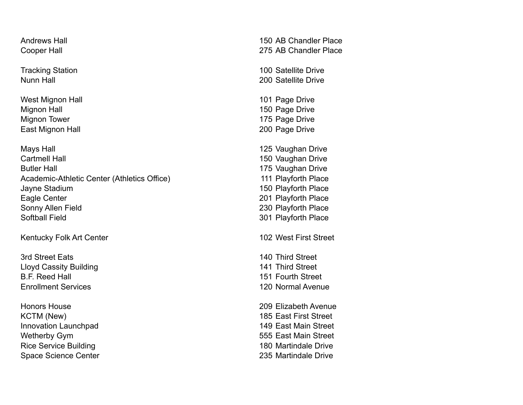West Mignon Hall **101 Page Drive** Mignon Hall 150 Page Drive Mignon Tower 2008 175 Page Drive East Mignon Hall 200 Page Drive

Mays Hall **Mays Hall** 125 Vaughan Drive Cartmell Hall 2008 Cartmell Hall 2008 Cartmell Hall 2008 2009 2012 2022 2023 Butler Hall **175 Vaughan Drive** Academic-Athletic Center (Athletics Office) 111 Playforth Place Jayne Stadium 150 Playforth Place Eagle Center 201 Playforth Place Sonny Allen Field 230 Playforth Place Softball Field 301 Playforth Place

Kentucky Folk Art Center 102 West First Street

Lloyd Cassity Building 141 Third Street B.F. Reed Hall 151 Fourth Street Enrollment Services 120 Normal Avenue

Honors House 209 Elizabeth Avenue KCTM (New) 185 East First Street Innovation Launchpad 149 East Main Street Wetherby Gym 600 and 100 and 100 and 100 and 100 and 100 and 100 and 100 and 100 and 100 and 100 and 100 and 100 and 100 and 100 and 100 and 100 and 100 and 100 and 100 and 100 and 100 and 100 and 100 and 100 and 100 and 1 Rice Service Building 180 Martindale Drive Space Science Center 235 Martindale Drive

Andrews Hall **150 AB Chandler Place** Cooper Hall 275 AB Chandler Place

Tracking Station **100** Satellite Drive Nunn Hall 200 Satellite Drive

3rd Street Eats 140 Third Street